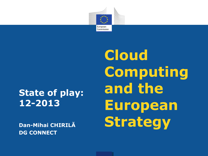

### **State of play: 12-2013**

**Dan-Mihai CHIRILĂ DG CONNECT**

**Cloud Computing and the European Strategy**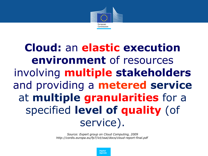

# **Cloud:** an **elastic execution environment** of resources involving **multiple stakeholders**  and providing a **metered service**  at **multiple granularities** for a specified **level of quality** (of service).

*Source: Expert group on Cloud Computing, 2009 http://cordis.europa.eu/fp7/ict/ssai/docs/cloud-report-final.pdf* 

> *Digital Agenda*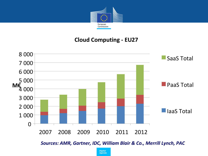

#### **Cloud Computing - EU27**



*Sources: AMR, Gartner, IDC, William Blair & Co., Merrill Lynch, PAC*

*Digital Agenda*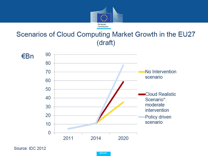

### Scenarios of Cloud Computing Market Growth in the EU27 (draft)



Source: IDC 2012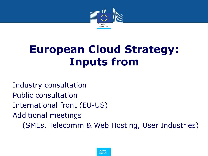

# **European Cloud Strategy: Inputs from**

Industry consultation Public consultation International front (EU-US) Additional meetings (SMEs, Telecomm & Web Hosting, User Industries)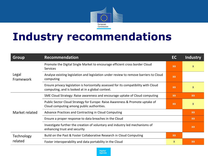

## **Industry recommendations**

| <b>Group</b>          | <b>Recommendation</b>                                                                                                                    | EC        | <b>Industry</b> |
|-----------------------|------------------------------------------------------------------------------------------------------------------------------------------|-----------|-----------------|
| Legal<br>Framework    | Promote the Digital Single Market to encourage efficient cross border Cloud<br><b>Services</b>                                           | <b>XX</b> | $\mathsf{x}$    |
|                       | Analyse existing legislation and legislation under review to remove barriers to Cloud<br>computing                                       |           |                 |
|                       | Ensure privacy legislation is horizontally assessed for its compatibility with Cloud<br>computing, and is looked at in a global context. |           | $\mathsf{x}$    |
| Market related        | SME Cloud Strategy: Raise awareness and encourage uptake of Cloud computing                                                              | XX        | XX              |
|                       | Public Sector Cloud Strategy for Europe: Raise Awareness & Promote uptake of<br>Cloud computing among public authorities.                | XX        | $\mathsf{X}$    |
|                       | Advance Practices and Contracting in Cloud Computing                                                                                     |           | XX              |
|                       | Ensure a proper response to data breaches in the Cloud                                                                                   |           | XX              |
|                       | Investigate further the creation of voluntary and industry led mechanisms of<br>enhancing trust and security                             |           | XX              |
| Technology<br>related | Build on the Past & Foster Collaborative Research in Cloud Computing                                                                     | XX        |                 |
|                       | Foster interoperability and data portability in the Cloud                                                                                | X.        | XX              |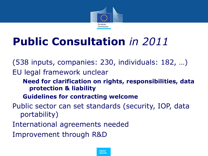

# **Public Consultation** *in 2011*

(538 inputs, companies: 230, individuals: 182, …) EU legal framework unclear

#### **Need for clarification on rights, responsibilities, data protection & liability**

#### **Guidelines for contracting welcome**

Public sector can set standards (security, IOP, data portability)

International agreements needed

Improvement through R&D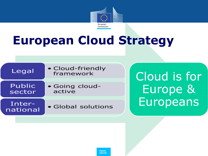

# **European Cloud Strategy**

| Legal              | • Cloud-friendly<br>framework |
|--------------------|-------------------------------|
| Public<br>sector   | • Going cloud-<br>active      |
| Inter-<br>national | • Global solutions            |

Cloud is for Europe & Europeans

*Digital Agenda*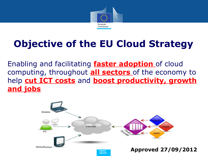

## **Objective of the EU Cloud Strategy**

Enabling and facilitating **faster adoption** of cloud computing, throughout **all sectors** of the economy to help **cut ICT costs** and **boost productivity, growth and jobs**

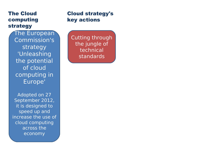#### The Cloud computing strategy

The European Commission's strategy 'Unleashing the potential of cloud computing in Europe'

Adopted on 27 September 2012, it is designed to speed up and increase the use of cloud computing across the economy

#### Cloud strategy's key actions

Cutting through the jungle of technical standards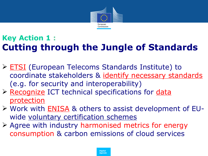

### **Key Action 1 : Cutting through the Jungle of Standards**

- > **ETSI** (European Telecoms Standards Institute) to coordinate stakeholders & identify necessary standards (e.g. for security and interoperability)
- ▶ Recognize ICT technical specifications for data protection
- ▶ Work with **ENISA** & others to assist development of EUwide voluntary certification schemes
- Agree with industry harmonised metrics for energy consumption & carbon emissions of cloud services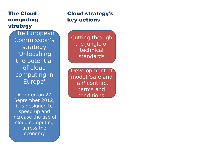#### The Cloud computing strategy

The European Commission's strategy 'Unleashing the potential of cloud computing in Europe'

Adopted on 27 September 2012, it is designed to speed up and increase the use of cloud computing across the economy

#### Cloud strategy's key actions

Cutting through the jungle of technical standards

Development of model 'safe and fair' contract terms and conditions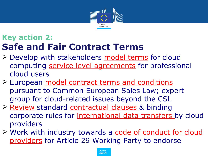

### **Key action 2: Safe and Fair Contract Terms**

- ▶ Develop with stakeholders model terms for cloud computing service level agreements for professional cloud users
- ▶ European model contract terms and conditions pursuant to Common European Sales Law; expert group for cloud-related issues beyond the CSL
- ▶ Review standard contractual clauses & binding corporate rules for international data transfers by cloud providers
- > Work with industry towards a code of conduct for cloud providers for Article 29 Working Party to endorse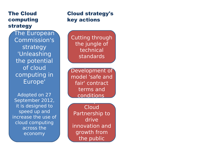#### The Cloud computing strategy

The European Commission's strategy 'Unleashing the potential of cloud computing in Europe'

Adopted on 27 September 2012, it is designed to speed up and increase the use of cloud computing across the economy

#### Cloud strategy's key actions

Cutting through the jungle of technical standards

Development of model 'safe and fair' contract terms and conditions

A European

Cloud Partnership to drive innovation and growth from the public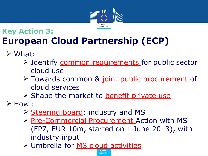

### **Key Action 3: European Cloud Partnership (ECP)**

- What:
	- > Identify common requirements for public sector cloud use
	- > Towards common & joint public procurement of cloud services
	- Shape the market to benefit private use
- $\triangleright$  How :
	- ▶ Steering Board: industry and MS
	- ▶ Pre-Commercial Procurement Action with MS (FP7, EUR 10m, started on 1 June 2013), with industry input

*Agenda*

*Digital* Umbrella for MS cloud activities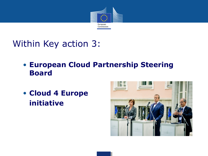

### Within Key action 3:

- **European Cloud Partnership Steering Board**
- **Cloud 4 Europe initiative**

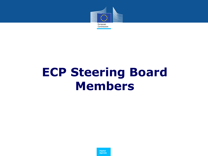

# **ECP Steering Board Members**

*Digital Agenda*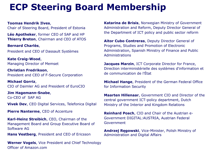## **ECP Steering Board Membership**

• **Toomas Hendrik Ilves**,

• Chair of Steering Board, President of Estonia

**Léo Apotheker**, former CEO of SAP and HP • **Thierry Breton**, Chairman and CEO of ATOS

• **Bernard Charlès**, • President and CEO of Dassault Systèmes

• **Kate Craig-Wood**, • Managing Director of Memset

• **Christian Fredrikson**, • President and CEO of F-Secure Corporation

• **Michael Gorriz**, • CIO of Daimler AG and President of EuroCIO

• **Jim Hagemann-Snabe**, • Co-CEO of SAP AG

**Vivek Dev**, CEO Digital Services, Telefonica Digital

**Pierre Nanterme, CEO of Accenture** 

• **Karl-Heinz Streibich**, CEO, Chairman of the Management Board and Group Executive Board of Software AG

• **Hans Vestberg**, President and CEO of Ericsson

**Werner Vogels**, Vice President and Chief Technology Officer of Amazon.com

• **Katarina de Brisis**, Norwegian Ministry of Government Administration and Reform, Deputy Director General of the Department of ICT policy and public sector reform

• **Aitor Cubo Contreras**, Deputy Director General of Programs, Studies and Promotion of Electronic Administration, Spanish Ministry of Finance and Public Administrations

**Jacques Marzin**, ICT Corporate Director for France, Direction interministérielle des systèmes d'information et de communication de l'État

• **Michael Hange**, President of the German Federal Office for Information Security

• **Maarten Hillenaar**, Government CIO and Director of the central government ICT-policy department, Dutch Ministry of the Interior and Kingdom Relations

• **Reinhard Posch**, CIO and Chair of the Austrian e-Government DIGITAL:AUSTRIA, Austrian Federal Government

• **Andrzej Ręgowski**, Vice-Minister, Polish Ministry of Administration and Digital Affairs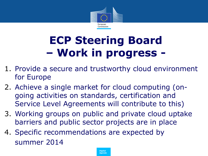

# **ECP Steering Board – Work in progress -**

- 1. Provide a secure and trustworthy cloud environment for Europe
- 2. Achieve a single market for cloud computing (ongoing activities on standards, certification and Service Level Agreements will contribute to this)
- 3. Working groups on public and private cloud uptake barriers and public sector projects are in place
- 4. Specific recommendations are expected by summer 2014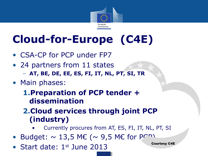

# **Cloud-for-Europe (C4E)**

- CSA-CP for PCP under FP7
- 24 partners from 11 states – **AT, BE, DE, EE, ES, FI, IT, NL, PT, SI, TR**
- Main phases:

### **1.Preparation of PCP tender + dissemination**

**2.Cloud services through joint PCP (industry)**

- Currently procures from AT, ES, FI, IT, NL, PT, SI
- Budget:  $\sim$  13,5 ME ( $\sim$  9,5 ME for PCP)
- Start date: 1<sup>st</sup> June 2013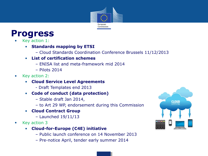

### **Progress**

- Key action 1:
	- **Standards mapping by ETSI** 
		- Cloud Standards Coordination Conference Brussels 11/12/2013
	- **List of certification schemes** 
		- ENISA list and meta-framework mid 2014
		- Pilots 2014
- Key action 2:
	- **Cloud Service Level Agreements** 
		- Draft Templates end 2013
	- **Code of conduct (data protection)** 
		- Stable draft Jan 2014,
		- to Art 29 WP, endorsement during this Commission
	- **Cloud Contract Group**
		- Launched 19/11/13
- Key action 3
	- **Cloud-for-Europe (C4E) initiative** 
		- Public launch conference on 14 November 2013
		- Pre-notice April, tender early summer 2014

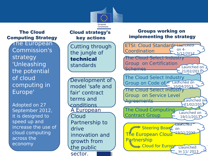

#### The Cloud Computing Strategy

The European Commission's strategy 'Unleashing the potential of cloud computing in Europe'

Adopted on 27 September 2012, it is designed to speed up and increase the use of cloud computing across the economy

drive

#### Cutting through the jungle of technical standards The Cloud Select Industry Group on Service Level Agreements The Cloud Select Industry Group on Certification Schemes The Cloud Select Industry Group on Code of Chaunched on ETSI: Cloud Standards Launched Coordination The European Clouc **Partnership** Cloud strategy's key actions Groups working on implementing the strategy Development of model 'safe and fair' contract terms and conditions A European Cloud Partnership to innovation and growth from the public sector. The Cloud Computing Contract Group on 4- 5/12/2012 Launched on 21/02/2013 10/04/2013 Launched on  $-21/02/2013$ Launched on 19/11/2013 Launched Steering Board on 19/11/2012 Cloud for Europe Llaunched In 11/ 2013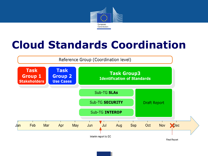

## **Cloud Standards Coordination**

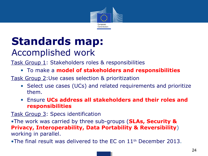

## **Standards map:**  Accomplished work

Task Group 1: Stakeholders roles & responsibilities

• To make a **model of stakeholders and responsibilities**

Task Group 2:Use cases selection & prioritization

- Select use cases (UCs) and related requirements and prioritize them.
- Ensure **UCs address all stakeholders and their roles and responsibilities**

Task Group 3: Specs identification

•The work was carried by three sub-groups (**SLAs, Security & Privacy, Interoperability, Data Portability & Reversibility**) working in parallel.

•The final result was delivered to the EC on  $11<sup>th</sup>$  December 2013.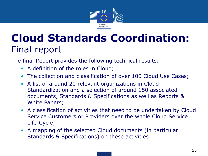

## **Cloud Standards Coordination:**  Final report

The final Report provides the following technical results:

- A definition of the roles in Cloud;
- The collection and classification of over 100 Cloud Use Cases;
- A list of around 20 relevant organizations in Cloud Standardization and a selection of around 150 associated documents, Standards & Specifications as well as Reports & White Papers;
- A classification of activities that need to be undertaken by Cloud Service Customers or Providers over the whole Cloud Service Life-Cycle;
- A mapping of the selected Cloud documents (in particular Standards & Specifications) on these activities.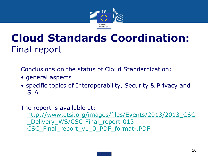

## **Cloud Standards Coordination:**  Final report

Conclusions on the status of Cloud Standardization:

- general aspects
- specific topics of Interoperability, Security & Privacy and SLA.

The report is available at:

http://www.etsi.org/images/files/Events/2013/2013\_CSC Delivery WS/CSC-Final report-013-CSC\_Final\_report\_v1\_0\_PDF\_format-.PDF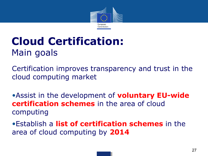

## **Cloud Certification:**  Main goals

Certification improves transparency and trust in the cloud computing market

•Assist in the development of **voluntary EU-wide certification schemes** in the area of cloud computing

•Establish a **list of certification schemes** in the area of cloud computing by **2014**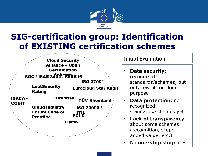

### **SIG-certification group: Identification of EXISTING certification schemes**

|                                | <b>Cloud Security</b>                                            |                             |
|--------------------------------|------------------------------------------------------------------|-----------------------------|
|                                | <b>Alliance - Open</b>                                           |                             |
|                                | <b>Certification</b>                                             |                             |
|                                | SOC / ISAE 3402 PSSAE16                                          |                             |
|                                |                                                                  | <b>ISO 27001</b>            |
|                                | <b>LeetSecurity</b><br><b>Rating</b>                             | <b>Eurocloud Star Audit</b> |
| <b>ISACA -</b><br><b>COBIT</b> | <b>Europrise</b><br><b>TÜV Rheinland</b>                         |                             |
|                                | <b>Cloud Industry</b><br><b>Forum Code of</b><br><b>Practice</b> | ISO 20000 /<br><b>PCI-C</b> |
|                                | <b>Fisma</b>                                                     |                             |
|                                |                                                                  |                             |

**Initial Evaluation** 

- **Data security:** recognized standards/schemes, but only few fit for cloud purpose
- **Data protection:** no recognized standards/schemes yet
- **Lack of transparency** about some schemes (recognition, scope, added value, etc.)
- No **one-stop shop** in EU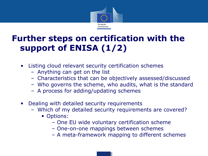

### **Further steps on certification with the support of ENISA (1/2)**

- Listing cloud relevant security certification schemes
	- Anything can get on the list
	- Characteristics that can be objectively assessed/discussed
	- Who governs the scheme, who audits, what is the standard
	- A process for adding/updating schemes
- Dealing with detailed security requirements
	- Which of my detailed security requirements are covered?
		- Options:
			- One EU wide voluntary certification scheme
			- One-on-one mappings between schemes
			- A meta-framework mapping to different schemes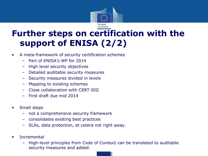

### **Further steps on certification with the support of ENISA (2/2)**

- A meta-framework of security certification schemes
	- Part of ENISA's WP for 2014
	- High level security objectives
	- Detailed auditable security measures
	- Security measures divided in levels
	- Mapping to existing schemes
	- Close collaboration with CERT-SIG
	- First draft due mid 2014
- Small steps
	- not a comprehensive security framework
	- consolidates existing best practices
	- SLAs, data protection, et cetera not right away.
- **Incremental** 
	- High-level principles from Code of Conduct can be translated to auditable security measures and added.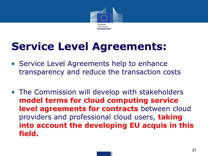

# **Service Level Agreements:**

- Service Level Agreements help to enhance transparency and reduce the transaction costs
- The Commission will develop with stakeholders **model terms for cloud computing service level agreements for contracts** between cloud providers and professional cloud users, **taking into account the developing EU acquis in this field.**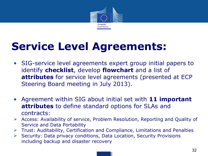

# **Service Level Agreements:**

- SIG-service level agreements expert group initial papers to identify **checklist**, develop **flowchart** and a list of **attributes** for service level agreements (presented at ECP Steering Board meeting in July 2013).
- Agreement within SIG about initial set with **11 important attributes** to define standard options for SLAs and contracts:
- Access: Availability of service, Problem Resolution, Reporting and Quality of Service and Data Portability
- $\triangleright$  Trust: Auditability, Certification and Compliance, Limitations and Penalties
- $\triangleright$  Security: Data privacy conditions, Data Location, Security Provisions including backup and disaster recovery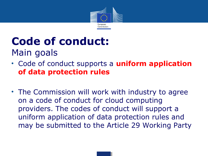

## **Code of conduct:**  Main goals

- Code of conduct supports a **uniform application of data protection rules**
- The Commission will work with industry to agree on a code of conduct for cloud computing providers. The codes of conduct will support a uniform application of data protection rules and may be submitted to the Article 29 Working Party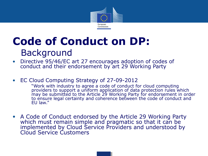

## **Code of Conduct on DP:**  Background

- Directive 95/46/EC art 27 encourages adoption of codes of conduct and their endorsement by art 29 Working Party
- EC Cloud Computing Strategy of 27-09-2012

"Work with industry to agree a code of conduct for cloud computing providers to support a uniform application of data protection rules which may be submitted to the Article 29 Working Party for endorsement in order to ensure legal certainty and coherence between the code of conduct and EU law."

• A Code of Conduct endorsed by the Article 29 Working Party which must remain simple and pragmatic so that it can be implemented by Cloud Service Providers and understood by Cloud Service Customers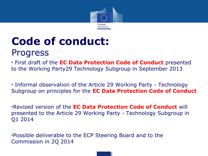

## **Code of conduct:**  Progress

• First draft of the **EC Data Protection Code of Conduct** presented to the Working Party29 Technology Subgroup in September 2013

• Informal observation of the Article 29 Working Party - Technology Subgroup on principles for the **EC Data Protection Code of Conduct** 

•Revised version of the **EC Data Protection Code of Conduct** will presented to the Article 29 Working Party - Technology Subgroup in Q1 2014

•Possible deliverable to the ECP Steering Board and to the Commission in 2Q 2014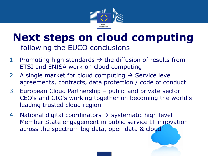

## **Next steps on cloud computing**  following the EUCO conclusions

- 1. Promoting high standards  $\rightarrow$  the diffusion of results from ETSI and ENISA work on cloud computing
- 2. A single market for cloud computing  $\rightarrow$  Service level agreements, contracts, data protection / code of conduct
- 3. European Cloud Partnership public and private sector CEO's and CIO's working together on becoming the world's leading trusted cloud region
- 4. National digital coordinators  $\rightarrow$  systematic high level Member State engagement in public service IT innovation across the spectrum big data, open data & cloud